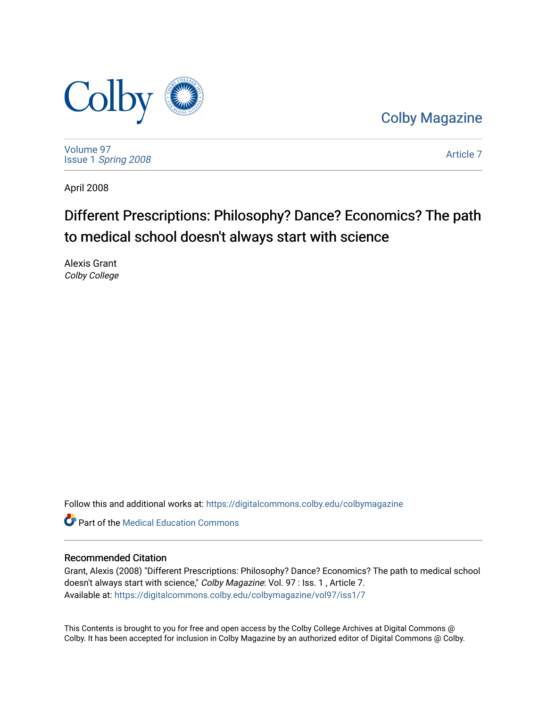

[Colby Magazine](https://digitalcommons.colby.edu/colbymagazine) 

[Volume 97](https://digitalcommons.colby.edu/colbymagazine/vol97) Issue 1 [Spring 2008](https://digitalcommons.colby.edu/colbymagazine/vol97/iss1) 

[Article 7](https://digitalcommons.colby.edu/colbymagazine/vol97/iss1/7) 

April 2008

## Different Prescriptions: Philosophy? Dance? Economics? The path to medical school doesn't always start with science

Alexis Grant Colby College

Follow this and additional works at: [https://digitalcommons.colby.edu/colbymagazine](https://digitalcommons.colby.edu/colbymagazine?utm_source=digitalcommons.colby.edu%2Fcolbymagazine%2Fvol97%2Fiss1%2F7&utm_medium=PDF&utm_campaign=PDFCoverPages)

**C** Part of the Medical Education Commons

## Recommended Citation

Grant, Alexis (2008) "Different Prescriptions: Philosophy? Dance? Economics? The path to medical school doesn't always start with science," Colby Magazine: Vol. 97 : Iss. 1, Article 7. Available at: [https://digitalcommons.colby.edu/colbymagazine/vol97/iss1/7](https://digitalcommons.colby.edu/colbymagazine/vol97/iss1/7?utm_source=digitalcommons.colby.edu%2Fcolbymagazine%2Fvol97%2Fiss1%2F7&utm_medium=PDF&utm_campaign=PDFCoverPages)

This Contents is brought to you for free and open access by the Colby College Archives at Digital Commons @ Colby. It has been accepted for inclusion in Colby Magazine by an authorized editor of Digital Commons @ Colby.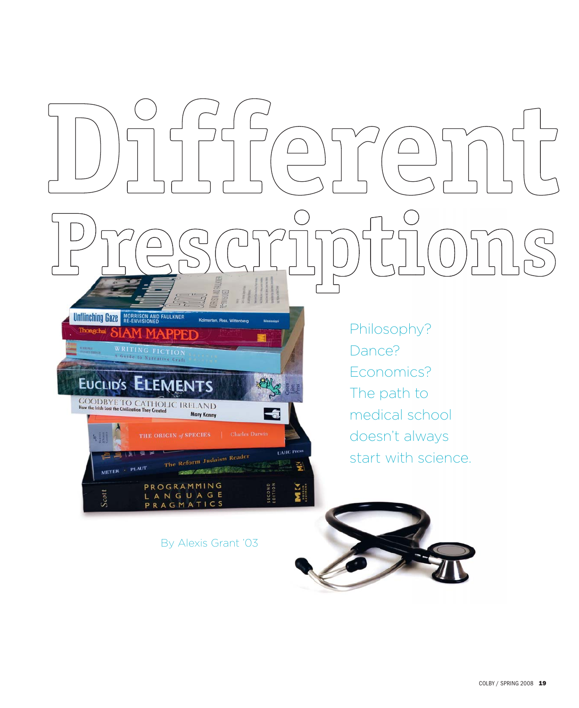

By Alexis Grant '03

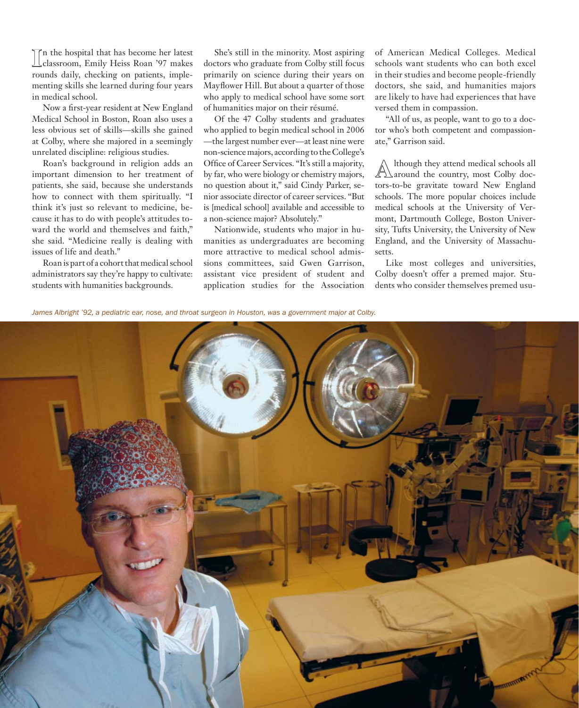**I** classroom, Emily Heiss Roan '97 makes n the hospital that has become her latest rounds daily, checking on patients, implementing skills she learned during four years in medical school.

Now a first-year resident at New England Medical School in Boston, Roan also uses a less obvious set of skills—skills she gained at Colby, where she majored in a seemingly unrelated discipline: religious studies.

Roan's background in religion adds an important dimension to her treatment of patients, she said, because she understands how to connect with them spiritually. "I think it's just so relevant to medicine, because it has to do with people's attitudes toward the world and themselves and faith," she said. "Medicine really is dealing with issues of life and death."

Roan is part of a cohort that medical school administrators say they're happy to cultivate: students with humanities backgrounds.

She's still in the minority. Most aspiring doctors who graduate from Colby still focus primarily on science during their years on Mayflower Hill. But about a quarter of those who apply to medical school have some sort of humanities major on their résumé.

Of the 47 Colby students and graduates who applied to begin medical school in 2006 —the largest number ever—at least nine were non-science majors, according to the College's Office of Career Services. "It's still a majority, by far, who were biology or chemistry majors, no question about it," said Cindy Parker, senior associate director of career services. "But is [medical school] available and accessible to a non-science major? Absolutely."

Nationwide, students who major in humanities as undergraduates are becoming more attractive to medical school admissions committees, said Gwen Garrison, assistant vice president of student and application studies for the Association of American Medical Colleges. Medical schools want students who can both excel in their studies and become people-friendly doctors, she said, and humanities majors are likely to have had experiences that have versed them in compassion.

"All of us, as people, want to go to a doctor who's both competent and compassionate," Garrison said.

Although they attend medical schools all<br>
around the country, most Colby doctors-to-be gravitate toward New England schools. The more popular choices include medical schools at the University of Vermont, Dartmouth College, Boston University, Tufts University, the University of New England, and the University of Massachusetts.

Like most colleges and universities, Colby doesn't offer a premed major. Students who consider themselves premed usu-

*James Albright '92, a pediatric ear, nose, and throat surgeon in Houston, was a government major at Colby.*

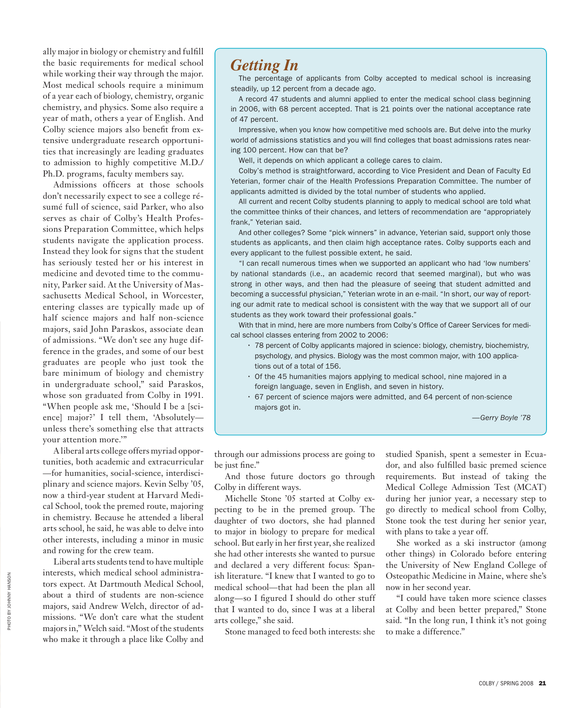ally major in biology or chemistry and fulfill the basic requirements for medical school while working their way through the major. Most medical schools require a minimum of a year each of biology, chemistry, organic chemistry, and physics. Some also require a year of math, others a year of English. And Colby science majors also benefit from extensive undergraduate research opportunities that increasingly are leading graduates to admission to highly competitive M.D./ Ph.D. programs, faculty members say.

Admissions officers at those schools don't necessarily expect to see a college résumé full of science, said Parker, who also serves as chair of Colby's Health Professions Preparation Committee, which helps students navigate the application process. Instead they look for signs that the student has seriously tested her or his interest in medicine and devoted time to the community, Parker said. At the University of Massachusetts Medical School, in Worcester, entering classes are typically made up of half science majors and half non-science majors, said John Paraskos, associate dean of admissions. "We don't see any huge difference in the grades, and some of our best graduates are people who just took the bare minimum of biology and chemistry in undergraduate school," said Paraskos, whose son graduated from Colby in 1991. "When people ask me, 'Should I be a [science] major?' I tell them, 'Absolutely unless there's something else that attracts your attention more.'"

A liberal arts college offers myriad opportunities, both academic and extracurricular —for humanities, social-science, interdisciplinary and science majors. Kevin Selby '05, now a third-year student at Harvard Medical School, took the premed route, majoring in chemistry. Because he attended a liberal arts school, he said, he was able to delve into other interests, including a minor in music and rowing for the crew team.

Liberal arts students tend to have multiple interests, which medical school administrators expect. At Dartmouth Medical School, about a third of students are non-science majors, said Andrew Welch, director of admissions. "We don't care what the student majors in," Welch said. "Most of the students who make it through a place like Colby and

## *Getting In*

The percentage of applicants from Colby accepted to medical school is increasing steadily, up 12 percent from a decade ago.

A record 47 students and alumni applied to enter the medical school class beginning in 2006, with 68 percent accepted. That is 21 points over the national acceptance rate of 47 percent.

Impressive, when you know how competitive med schools are. But delve into the murky world of admissions statistics and you will find colleges that boast admissions rates nearing 100 percent. How can that be?

Well, it depends on which applicant a college cares to claim.

Colby's method is straightforward, according to Vice President and Dean of Faculty Ed Yeterian, former chair of the Health Professions Preparation Committee. The number of applicants admitted is divided by the total number of students who applied.

All current and recent Colby students planning to apply to medical school are told what the committee thinks of their chances, and letters of recommendation are "appropriately frank," Yeterian said.

And other colleges? Some "pick winners" in advance, Yeterian said, support only those students as applicants, and then claim high acceptance rates. Colby supports each and every applicant to the fullest possible extent, he said.

"I can recall numerous times when we supported an applicant who had 'low numbers' by national standards (i.e., an academic record that seemed marginal), but who was strong in other ways, and then had the pleasure of seeing that student admitted and becoming a successful physician," Yeterian wrote in an e-mail. "In short, our way of reporting our admit rate to medical school is consistent with the way that we support all of our students as they work toward their professional goals."

With that in mind, here are more numbers from Colby's Office of Career Services for medical school classes entering from 2002 to 2006:

- 78 percent of Colby applicants majored in science: biology, chemistry, biochemistry, psychology, and physics. Biology was the most common major, with 100 applications out of a total of 156.
- Of the 45 humanities majors applying to medical school, nine majored in a foreign language, seven in English, and seven in history.
- 67 percent of science majors were admitted, and 64 percent of non-science majors got in.

—*Gerry Boyle '78* 

through our admissions process are going to be just fine."

And those future doctors go through Colby in different ways.

Michelle Stone '05 started at Colby expecting to be in the premed group. The daughter of two doctors, she had planned to major in biology to prepare for medical school. But early in her first year, she realized she had other interests she wanted to pursue and declared a very different focus: Spanish literature. "I knew that I wanted to go to medical school—that had been the plan all along—so I figured I should do other stuff that I wanted to do, since I was at a liberal arts college," she said.

Stone managed to feed both interests: she

studied Spanish, spent a semester in Ecuador, and also fulfilled basic premed science requirements. But instead of taking the Medical College Admission Test (MCAT) during her junior year, a necessary step to go directly to medical school from Colby, Stone took the test during her senior year, with plans to take a year off.

She worked as a ski instructor (among other things) in Colorado before entering the University of New England College of Osteopathic Medicine in Maine, where she's now in her second year.

"I could have taken more science classes at Colby and been better prepared," Stone said. "In the long run, I think it's not going to make a difference."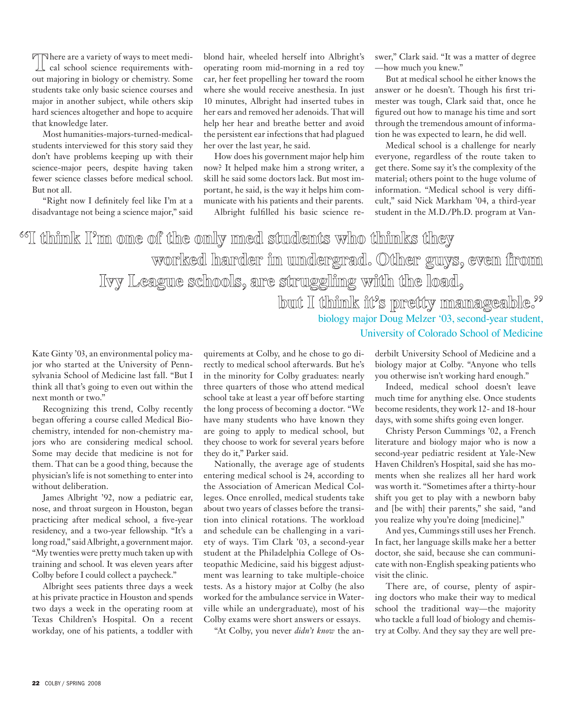There are a variety of ways to meet medi-<br>cal school science requirements without majoring in biology or chemistry. Some students take only basic science courses and major in another subject, while others skip hard sciences altogether and hope to acquire that knowledge later.

Most humanities-majors-turned-medicalstudents interviewed for this story said they don't have problems keeping up with their science-major peers, despite having taken fewer science classes before medical school. But not all.

"Right now I definitely feel like I'm at a disadvantage not being a science major," said

blond hair, wheeled herself into Albright's operating room mid-morning in a red toy car, her feet propelling her toward the room where she would receive anesthesia. In just 10 minutes, Albright had inserted tubes in her ears and removed her adenoids. That will help her hear and breathe better and avoid the persistent ear infections that had plagued her over the last year, he said.

How does his government major help him now? It helped make him a strong writer, a skill he said some doctors lack. But most important, he said, is the way it helps him communicate with his patients and their parents.

Albright fulfilled his basic science re-

swer," Clark said. "It was a matter of degree —how much you knew."

But at medical school he either knows the answer or he doesn't. Though his first trimester was tough, Clark said that, once he figured out how to manage his time and sort through the tremendous amount of information he was expected to learn, he did well.

Medical school is a challenge for nearly everyone, regardless of the route taken to get there. Some say it's the complexity of the material; others point to the huge volume of information. "Medical school is very difficult," said Nick Markham '04, a third-year student in the M.D./Ph.D. program at Van-

<sup>66</sup>II think I'm one of the only med students who thinks they **worked harder in undergrad. Other guys, even from Ivy League schools, are struggling with the load,**  but I think it's pretty manageable.<sup>99</sup>

> biology major Doug Melzer '03, second-year student, University of Colorado School of Medicine

Kate Ginty '03, an environmental policy major who started at the University of Pennsylvania School of Medicine last fall. "But I think all that's going to even out within the next month or two."

Recognizing this trend, Colby recently began offering a course called Medical Biochemistry, intended for non-chemistry majors who are considering medical school. Some may decide that medicine is not for them. That can be a good thing, because the physician's life is not something to enter into without deliberation.

James Albright '92, now a pediatric ear, nose, and throat surgeon in Houston, began practicing after medical school, a five-year residency, and a two-year fellowship. "It's a long road," said Albright, a government major. "My twenties were pretty much taken up with training and school. It was eleven years after Colby before I could collect a paycheck."

Albright sees patients three days a week at his private practice in Houston and spends two days a week in the operating room at Texas Children's Hospital. On a recent workday, one of his patients, a toddler with

quirements at Colby, and he chose to go directly to medical school afterwards. But he's in the minority for Colby graduates: nearly three quarters of those who attend medical school take at least a year off before starting the long process of becoming a doctor. "We have many students who have known they are going to apply to medical school, but they choose to work for several years before they do it," Parker said.

Nationally, the average age of students entering medical school is 24, according to the Association of American Medical Colleges. Once enrolled, medical students take about two years of classes before the transition into clinical rotations. The workload and schedule can be challenging in a variety of ways. Tim Clark '03, a second-year student at the Philadelphia College of Osteopathic Medicine, said his biggest adjustment was learning to take multiple-choice tests. As a history major at Colby (he also worked for the ambulance service in Waterville while an undergraduate), most of his Colby exams were short answers or essays.

"At Colby, you never *didn't know* the an-

derbilt University School of Medicine and a biology major at Colby. "Anyone who tells you otherwise isn't working hard enough."

Indeed, medical school doesn't leave much time for anything else. Once students become residents, they work 12- and 18-hour days, with some shifts going even longer.

Christy Person Cummings '02, a French literature and biology major who is now a second-year pediatric resident at Yale-New Haven Children's Hospital, said she has moments when she realizes all her hard work was worth it. "Sometimes after a thirty-hour shift you get to play with a newborn baby and [be with] their parents," she said, "and you realize why you're doing [medicine]."

And yes, Cummings still uses her French. In fact, her language skills make her a better doctor, she said, because she can communicate with non-English speaking patients who visit the clinic.

There are, of course, plenty of aspiring doctors who make their way to medical school the traditional way—the majority who tackle a full load of biology and chemistry at Colby. And they say they are well pre-